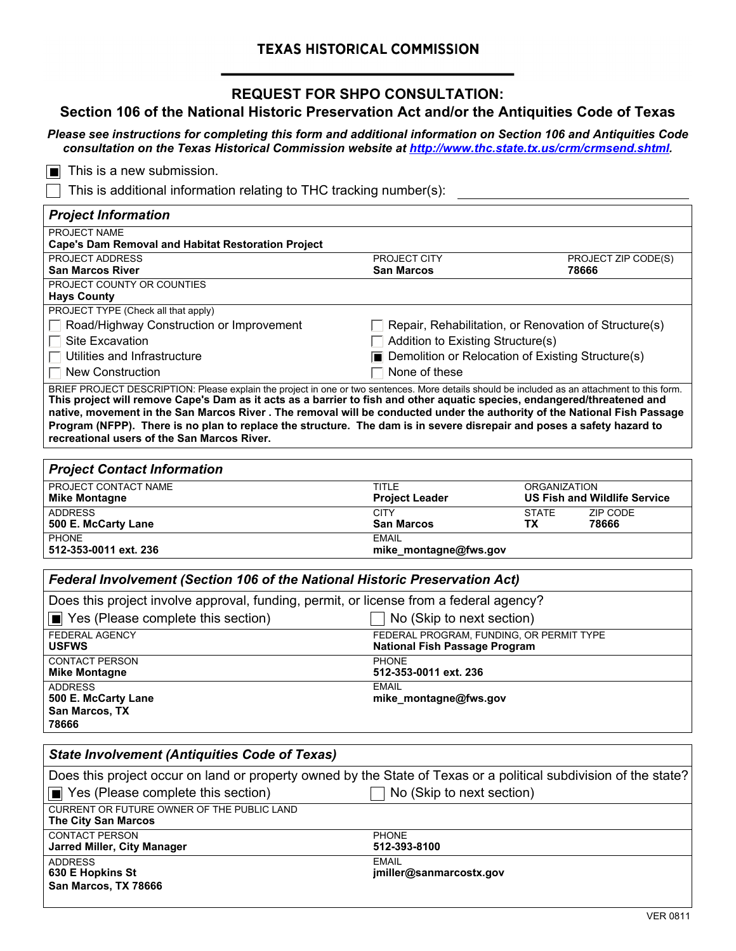## **TEXAS HISTORICAL COMMISSION**

## **REQUEST FOR SHPO CONSULTATION:**

## **Section 106 of the National Historic Preservation Act and/or the Antiquities Code of Texas**

*Please see instructions for completing this form and additional information on Section 106 and Antiquities Code consultation on the Texas Historical Commission website at [http://www.thc.state.tx.us/crm/crmsend.shtml.](http://www.thc.state.tx.us/crm/crmsend.shtml)*

■ This is a new submission.

This is additional information relating to THC tracking number(s):

ADDRESS EMAIL

**630 E Hopkins St San Marcos, TX 78666**

| <b>Project Information</b>                                                                                                                                                                                                                                                                                                                                                                                                                                                                                                                                                     |                                                                                  |                           |                                     |  |  |
|--------------------------------------------------------------------------------------------------------------------------------------------------------------------------------------------------------------------------------------------------------------------------------------------------------------------------------------------------------------------------------------------------------------------------------------------------------------------------------------------------------------------------------------------------------------------------------|----------------------------------------------------------------------------------|---------------------------|-------------------------------------|--|--|
| PROJECT NAME<br><b>Cape's Dam Removal and Habitat Restoration Project</b>                                                                                                                                                                                                                                                                                                                                                                                                                                                                                                      |                                                                                  |                           |                                     |  |  |
| PROJECT ADDRESS<br>San Marcos River                                                                                                                                                                                                                                                                                                                                                                                                                                                                                                                                            | PROJECT CITY<br><b>San Marcos</b>                                                |                           | PROJECT ZIP CODE(S)<br>78666        |  |  |
| PROJECT COUNTY OR COUNTIES<br><b>Hays County</b>                                                                                                                                                                                                                                                                                                                                                                                                                                                                                                                               |                                                                                  |                           |                                     |  |  |
| PROJECT TYPE (Check all that apply)                                                                                                                                                                                                                                                                                                                                                                                                                                                                                                                                            |                                                                                  |                           |                                     |  |  |
| Road/Highway Construction or Improvement                                                                                                                                                                                                                                                                                                                                                                                                                                                                                                                                       | Repair, Rehabilitation, or Renovation of Structure(s)                            |                           |                                     |  |  |
| <b>Site Excavation</b>                                                                                                                                                                                                                                                                                                                                                                                                                                                                                                                                                         | Addition to Existing Structure(s)                                                |                           |                                     |  |  |
| Utilities and Infrastructure                                                                                                                                                                                                                                                                                                                                                                                                                                                                                                                                                   | □ Demolition or Relocation of Existing Structure(s)                              |                           |                                     |  |  |
| <b>New Construction</b>                                                                                                                                                                                                                                                                                                                                                                                                                                                                                                                                                        | None of these                                                                    |                           |                                     |  |  |
| BRIEF PROJECT DESCRIPTION: Please explain the project in one or two sentences. More details should be included as an attachment to this form.<br>This project will remove Cape's Dam as it acts as a barrier to fish and other aquatic species, endangered/threatened and<br>native, movement in the San Marcos River. The removal will be conducted under the authority of the National Fish Passage<br>Program (NFPP). There is no plan to replace the structure. The dam is in severe disrepair and poses a safety hazard to<br>recreational users of the San Marcos River. |                                                                                  |                           |                                     |  |  |
| <b>Project Contact Information</b>                                                                                                                                                                                                                                                                                                                                                                                                                                                                                                                                             |                                                                                  |                           |                                     |  |  |
| PROJECT CONTACT NAME<br><b>Mike Montagne</b>                                                                                                                                                                                                                                                                                                                                                                                                                                                                                                                                   | <b>TITLE</b><br><b>Project Leader</b>                                            | <b>ORGANIZATION</b>       | <b>US Fish and Wildlife Service</b> |  |  |
| <b>ADDRESS</b><br>500 E. McCarty Lane                                                                                                                                                                                                                                                                                                                                                                                                                                                                                                                                          | <b>CITY</b><br><b>San Marcos</b>                                                 | <b>STATE</b><br><b>TX</b> | ZIP CODE<br>78666                   |  |  |
| PHONF<br>512-353-0011 ext. 236                                                                                                                                                                                                                                                                                                                                                                                                                                                                                                                                                 | <b>EMAIL</b><br>mike_montagne@fws.gov                                            |                           |                                     |  |  |
| Federal Involvement (Section 106 of the National Historic Preservation Act)                                                                                                                                                                                                                                                                                                                                                                                                                                                                                                    |                                                                                  |                           |                                     |  |  |
| Does this project involve approval, funding, permit, or license from a federal agency?                                                                                                                                                                                                                                                                                                                                                                                                                                                                                         |                                                                                  |                           |                                     |  |  |
| $\blacksquare$ Yes (Please complete this section)                                                                                                                                                                                                                                                                                                                                                                                                                                                                                                                              | No (Skip to next section)                                                        |                           |                                     |  |  |
| FEDERAL AGENCY<br><b>USFWS</b>                                                                                                                                                                                                                                                                                                                                                                                                                                                                                                                                                 | FEDERAL PROGRAM, FUNDING, OR PERMIT TYPE<br><b>National Fish Passage Program</b> |                           |                                     |  |  |
| <b>CONTACT PERSON</b><br><b>Mike Montagne</b>                                                                                                                                                                                                                                                                                                                                                                                                                                                                                                                                  | <b>PHONE</b><br>512-353-0011 ext. 236                                            |                           |                                     |  |  |
| <b>ADDRESS</b><br>500 E. McCarty Lane<br>San Marcos, TX<br>78666                                                                                                                                                                                                                                                                                                                                                                                                                                                                                                               | <b>EMAIL</b><br>mike_montagne@fws.gov                                            |                           |                                     |  |  |
| <b>State Involvement (Antiquities Code of Texas)</b>                                                                                                                                                                                                                                                                                                                                                                                                                                                                                                                           |                                                                                  |                           |                                     |  |  |
| Does this project occur on land or property owned by the State of Texas or a political subdivision of the state?                                                                                                                                                                                                                                                                                                                                                                                                                                                               |                                                                                  |                           |                                     |  |  |
| $\blacksquare$ Yes (Please complete this section)                                                                                                                                                                                                                                                                                                                                                                                                                                                                                                                              | No (Skip to next section)                                                        |                           |                                     |  |  |
| CURRENT OR FUTURE OWNER OF THE PUBLIC LAND<br><b>The City San Marcos</b>                                                                                                                                                                                                                                                                                                                                                                                                                                                                                                       |                                                                                  |                           |                                     |  |  |
| <b>CONTACT PERSON</b><br>Jarred Miller, City Manager                                                                                                                                                                                                                                                                                                                                                                                                                                                                                                                           | <b>PHONE</b><br>512-393-8100                                                     |                           |                                     |  |  |

**jmiller@sanmarcostx.gov**